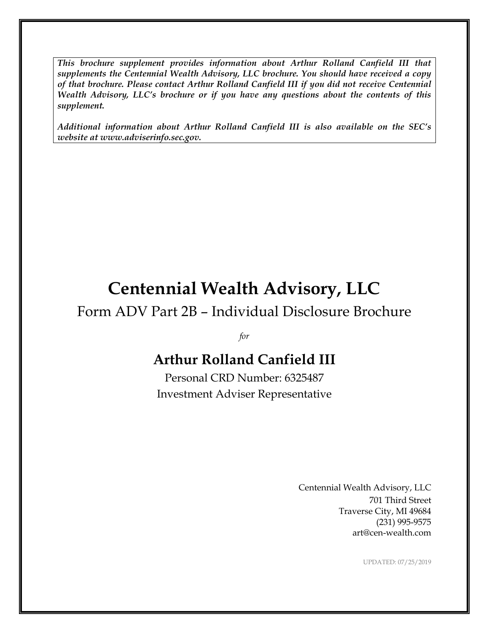*This brochure supplement provides information about Arthur Rolland Canfield III that supplements the Centennial Wealth Advisory, LLC brochure. You should have received a copy of that brochure. Please contact Arthur Rolland Canfield III if you did not receive Centennial Wealth Advisory, LLC's brochure or if you have any questions about the contents of this supplement.*

*Additional information about Arthur Rolland Canfield III is also available on the SEC's website at www.adviserinfo.sec.gov.*

# **Centennial Wealth Advisory, LLC**

## Form ADV Part 2B – Individual Disclosure Brochure

*for*

## **Arthur Rolland Canfield III**

Personal CRD Number: 6325487 Investment Adviser Representative

> Centennial Wealth Advisory, LLC 701 Third Street Traverse City, MI 49684 (231) 995-9575 art@cen-wealth.com

> > UPDATED: 07/25/2019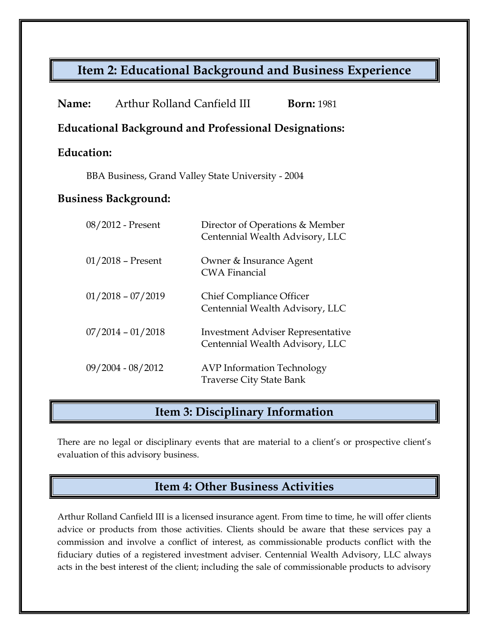#### **Item 2: Educational Background and Business Experience**

| Name:                                                        | Arthur Rolland Canfield III | <b>Born: 1981</b>                                                           |
|--------------------------------------------------------------|-----------------------------|-----------------------------------------------------------------------------|
| <b>Educational Background and Professional Designations:</b> |                             |                                                                             |
| Education:                                                   |                             |                                                                             |
| BBA Business, Grand Valley State University - 2004           |                             |                                                                             |
| <b>Business Background:</b>                                  |                             |                                                                             |
|                                                              | 08/2012 - Present           | Director of Operations & Member<br>Centennial Wealth Advisory, LLC          |
|                                                              | $01/2018$ – Present         | Owner & Insurance Agent<br><b>CWA Financial</b>                             |
|                                                              | $01/2018 - 07/2019$         | <b>Chief Compliance Officer</b><br>Centennial Wealth Advisory, LLC          |
|                                                              | $07/2014 - 01/2018$         | <b>Investment Adviser Representative</b><br>Centennial Wealth Advisory, LLC |
|                                                              | $09/2004 - 08/2012$         | <b>AVP</b> Information Technology<br><b>Traverse City State Bank</b>        |

## **Item 3: Disciplinary Information**

There are no legal or disciplinary events that are material to a client's or prospective client's evaluation of this advisory business.

## **Item 4: Other Business Activities**

Arthur Rolland Canfield III is a licensed insurance agent. From time to time, he will offer clients advice or products from those activities. Clients should be aware that these services pay a commission and involve a conflict of interest, as commissionable products conflict with the fiduciary duties of a registered investment adviser. Centennial Wealth Advisory, LLC always acts in the best interest of the client; including the sale of commissionable products to advisory